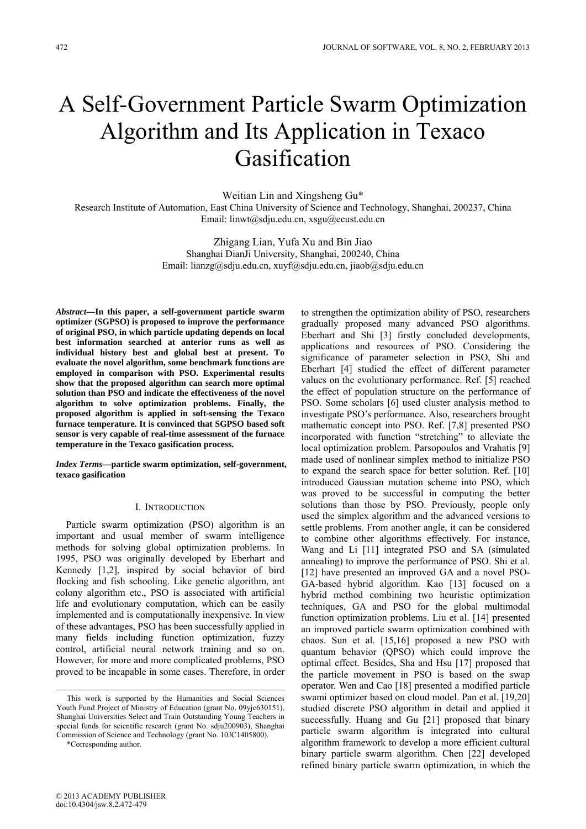# A Self-Government Particle Swarm Optimization Algorithm and Its Application in Texaco Gasification

Weitian Lin and Xingsheng Gu\* Research Institute of Automation, East China University of Science and Technology, Shanghai, 200237, China Email: linwt@sdju.edu.cn, xsgu@ecust.edu.cn

> Zhigang Lian, Yufa Xu and Bin Jiao Shanghai DianJi University, Shanghai, 200240, China Email: lianzg@sdju.edu.cn, xuyf@sdju.edu.cn, jiaob@sdju.edu.cn

*Abstract***—In this paper, a self-government particle swarm optimizer (SGPSO) is proposed to improve the performance of original PSO, in which particle updating depends on local best information searched at anterior runs as well as individual history best and global best at present. To evaluate the novel algorithm, some benchmark functions are employed in comparison with PSO. Experimental results show that the proposed algorithm can search more optimal solution than PSO and indicate the effectiveness of the novel algorithm to solve optimization problems. Finally, the proposed algorithm is applied in soft-sensing the Texaco furnace temperature. It is convinced that SGPSO based soft sensor is very capable of real-time assessment of the furnace temperature in the Texaco gasification process.** 

*Index Terms***—particle swarm optimization, self-government, texaco gasification** 

#### I. INTRODUCTION

Particle swarm optimization (PSO) algorithm is an important and usual member of swarm intelligence methods for solving global optimization problems. In 1995, PSO was originally developed by Eberhart and Kennedy [1,2], inspired by social behavior of bird flocking and fish schooling. Like genetic algorithm, ant colony algorithm etc., PSO is associated with artificial life and evolutionary computation, which can be easily implemented and is computationally inexpensive. In view of these advantages, PSO has been successfully applied in many fields including function optimization, fuzzy control, artificial neural network training and so on. However, for more and more complicated problems, PSO proved to be incapable in some cases. Therefore, in order

\*Corresponding author.

to strengthen the optimization ability of PSO, researchers gradually proposed many advanced PSO algorithms. Eberhart and Shi [3] firstly concluded developments, applications and resources of PSO. Considering the significance of parameter selection in PSO, Shi and Eberhart [4] studied the effect of different parameter values on the evolutionary performance. Ref. [5] reached the effect of population structure on the performance of PSO. Some scholars [6] used cluster analysis method to investigate PSO's performance. Also, researchers brought mathematic concept into PSO. Ref. [7,8] presented PSO incorporated with function "stretching" to alleviate the local optimization problem. Parsopoulos and Vrahatis [9] made used of nonlinear simplex method to initialize PSO to expand the search space for better solution. Ref. [10] introduced Gaussian mutation scheme into PSO, which was proved to be successful in computing the better solutions than those by PSO. Previously, people only used the simplex algorithm and the advanced versions to settle problems. From another angle, it can be considered to combine other algorithms effectively. For instance, Wang and Li [11] integrated PSO and SA (simulated annealing) to improve the performance of PSO. Shi et al. [12] have presented an improved GA and a novel PSO-GA-based hybrid algorithm. Kao [13] focused on a hybrid method combining two heuristic optimization techniques, GA and PSO for the global multimodal function optimization problems. Liu et al. [14] presented an improved particle swarm optimization combined with chaos. Sun et al. [15,16] proposed a new PSO with quantum behavior (QPSO) which could improve the optimal effect. Besides, Sha and Hsu [17] proposed that the particle movement in PSO is based on the swap operator. Wen and Cao [18] presented a modified particle swami optimizer based on cloud model. Pan et al. [19,20] studied discrete PSO algorithm in detail and applied it successfully. Huang and Gu [21] proposed that binary particle swarm algorithm is integrated into cultural algorithm framework to develop a more efficient cultural binary particle swarm algorithm. Chen [22] developed refined binary particle swarm optimization, in which the

This work is supported by the Humanities and Social Sciences Youth Fund Project of Ministry of Education (grant No. 09yjc630151), Shanghai Universities Select and Train Outstanding Young Teachers in special funds for scientific research (grant No. sdju200903), Shanghai Commission of Science and Technology (grant No. 10JC1405800).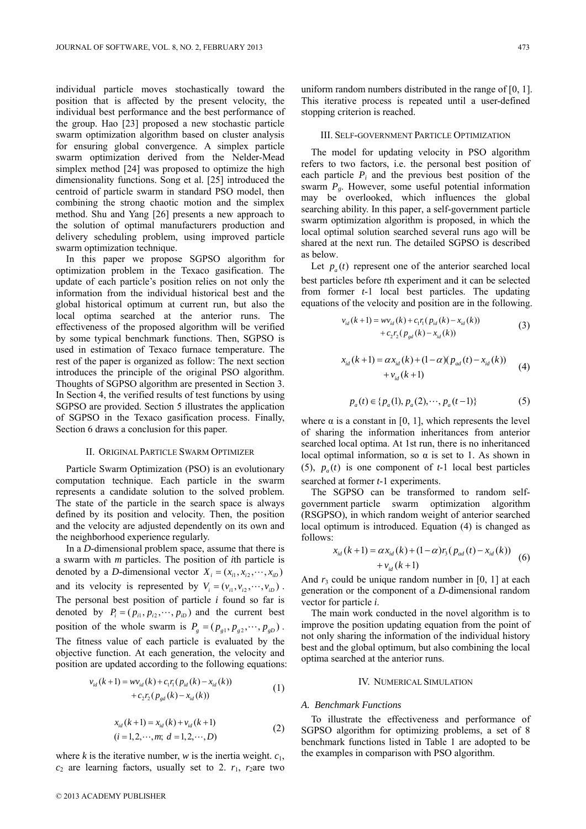individual particle moves stochastically toward the position that is affected by the present velocity, the individual best performance and the best performance of the group. Hao [23] proposed a new stochastic particle swarm optimization algorithm based on cluster analysis for ensuring global convergence. A simplex particle swarm optimization derived from the Nelder-Mead simplex method [24] was proposed to optimize the high dimensionality functions. Song et al. [25] introduced the centroid of particle swarm in standard PSO model, then combining the strong chaotic motion and the simplex method. Shu and Yang [26] presents a new approach to the solution of optimal manufacturers production and delivery scheduling problem, using improved particle swarm optimization technique.

In this paper we propose SGPSO algorithm for optimization problem in the Texaco gasification. The update of each particle's position relies on not only the information from the individual historical best and the global historical optimum at current run, but also the local optima searched at the anterior runs. The effectiveness of the proposed algorithm will be verified by some typical benchmark functions. Then, SGPSO is used in estimation of Texaco furnace temperature. The rest of the paper is organized as follow: The next section introduces the principle of the original PSO algorithm. Thoughts of SGPSO algorithm are presented in Section 3. In Section 4, the verified results of test functions by using SGPSO are provided. Section 5 illustrates the application of SGPSO in the Texaco gasification process. Finally, Section 6 draws a conclusion for this paper.

#### II. ORIGINAL PARTICLE SWARM OPTIMIZER

Particle Swarm Optimization (PSO) is an evolutionary computation technique. Each particle in the swarm represents a candidate solution to the solved problem. The state of the particle in the search space is always defined by its position and velocity. Then, the position and the velocity are adjusted dependently on its own and the neighborhood experience regularly.

In a *D*-dimensional problem space, assume that there is a swarm with *m* particles. The position of *i*th particle is denoted by a *D*-dimensional vector  $X_i = (x_{i1}, x_{i2}, \dots, x_{in})$ and its velocity is represented by  $V_i = (v_{i1}, v_{i2}, \dots, v_{iD})$ . The personal best position of particle *i* found so far is denoted by  $P_i = (p_{i1}, p_{i2}, \dots, p_{iD})$  and the current best position of the whole swarm is  $P_g = (p_{g1}, p_{g2}, \dots, p_{gD})$ . The fitness value of each particle is evaluated by the objective function. At each generation, the velocity and position are updated according to the following equations:

$$
v_{id}(k+1) = w v_{id}(k) + c_1 r_1 (p_{id}(k) - x_{id}(k)) + c_2 r_2 (p_{gd}(k) - x_{id}(k))
$$
\n(1)

$$
x_{id}(k+1) = x_{id}(k) + v_{id}(k+1)
$$
  
(i = 1,2,...,m; d = 1,2,...,D) (2)

where *k* is the iterative number, *w* is the inertia weight.  $c_1$ ,  $c_2$  are learning factors, usually set to 2.  $r_1$ ,  $r_2$ are two

uniform random numbers distributed in the range of [0, 1]. This iterative process is repeated until a user-defined stopping criterion is reached.

### III. SELF-GOVERNMENT PARTICLE OPTIMIZATION

The model for updating velocity in PSO algorithm refers to two factors, i.e. the personal best position of each particle  $P_i$  and the previous best position of the swarm  $P_g$ . However, some useful potential information may be overlooked, which influences the global searching ability. In this paper, a self-government particle swarm optimization algorithm is proposed, in which the local optimal solution searched several runs ago will be shared at the next run. The detailed SGPSO is described as below.

Let  $p_a(t)$  represent one of the anterior searched local best particles before *t*th experiment and it can be selected from former *t*-1 local best particles. The updating equations of the velocity and position are in the following.

$$
v_{id}(k+1) = w v_{id}(k) + c_1 r_1 (p_{id}(k) - x_{id}(k)) + c_2 r_2 (p_{gd}(k) - x_{id}(k))
$$
\n(3)

$$
x_{id}(k+1) = \alpha x_{id}(k) + (1-\alpha)(p_{ad}(t) - x_{id}(k)) + v_{id}(k+1)
$$
\n(4)

$$
p_a(t) \in \{p_a(1), p_a(2), \cdots, p_a(t-1)\}
$$
 (5)

where  $\alpha$  is a constant in [0, 1], which represents the level of sharing the information inheritances from anterior searched local optima. At 1st run, there is no inheritanced local optimal information, so  $\alpha$  is set to 1. As shown in (5),  $p_a(t)$  is one component of  $t-1$  local best particles searched at former *t*-1 experiments.

The SGPSO can be transformed to random selfgovernment particle swarm optimization algorithm (RSGPSO), in which random weight of anterior searched local optimum is introduced. Equation (4) is changed as follows:

$$
x_{id}(k+1) = \alpha x_{id}(k) + (1-\alpha)r_3(p_{ad}(t) - x_{id}(k)) + v_{id}(k+1)
$$
 (6)

And  $r_3$  could be unique random number in [0, 1] at each generation or the component of a *D*-dimensional random vector for particle *i*.

The main work conducted in the novel algorithm is to improve the position updating equation from the point of not only sharing the information of the individual history best and the global optimum, but also combining the local optima searched at the anterior runs.

# IV. NUMERICAL SIMULATION

## *A. Benchmark Functions*

To illustrate the effectiveness and performance of SGPSO algorithm for optimizing problems, a set of 8 benchmark functions listed in Table 1 are adopted to be the examples in comparison with PSO algorithm.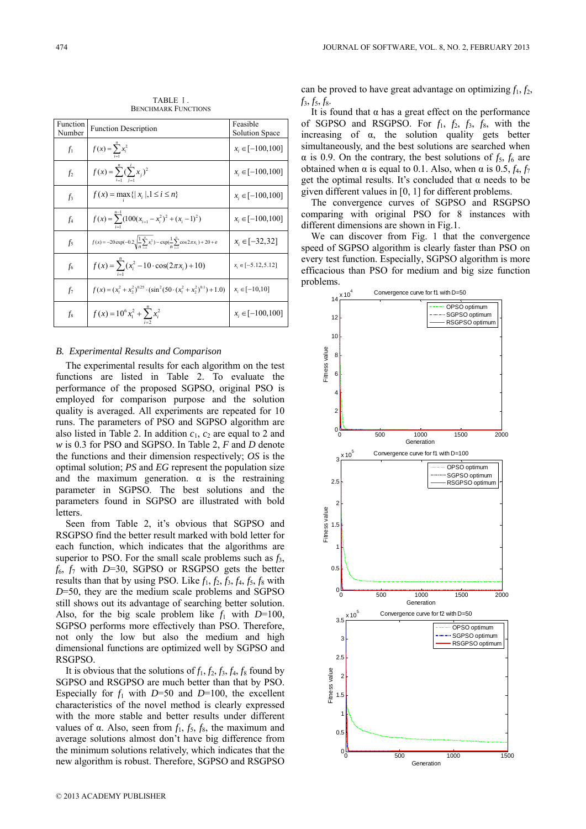| Function<br>Number | <b>Function Description</b>                                                                                               | Feasible<br>Solution Space |
|--------------------|---------------------------------------------------------------------------------------------------------------------------|----------------------------|
| $f_1$              | $f(x) = \sum_{i=1}^{n} x_i^2$                                                                                             | $x_i \in [-100, 100]$      |
| f <sub>2</sub>     | $f(x) = \sum_{i=1}^{n} (\sum_{j=1}^{i} x_j)^2$                                                                            | $x_i \in [-100, 100]$      |
| $f_3$              | $f(x) = \max\{ x_i , 1 \le i \le n\}$                                                                                     | $x_i \in [-100, 100]$      |
| $f_4$              | $f(x) = \sum_{i=1}^{n} (100(x_{i+1} - x_i^2)^2 + (x_i - 1)^2)$                                                            | $x_i \in [-100, 100]$      |
| $f_5$              | $f(x) = -20 \exp(-0.2 \sqrt{\frac{1}{n} \sum_{i=1}^{n} x_i^2}) - \exp(\frac{1}{n} \sum_{i=1}^{n} \cos 2\pi x_i) + 20 + e$ | $x_i \in [-32, 32]$        |
| $f_6$              | $f(x) = \sum_{i=1}^{n} (x_i^2 - 10 \cdot \cos(2\pi x_i) + 10)$                                                            | $x_i \in [-5.12, 5.12]$    |
| $f_7$              | $f(x) = (x_1^2 + x_2^2)^{0.25} \cdot (\sin^2(50 \cdot (x_1^2 + x_2^2)^{0.1}) + 1.0)$                                      | $x_i \in [-10, 10]$        |
| $f_8$              | $f(x) = 10^6 x_1^2 + \sum x_i^2$                                                                                          | $x_i \in [-100, 100]$      |

TABLE Ⅰ. BENCHMARK FUNCTIONS

# *B. Experimental Results and Comparison*

The experimental results for each algorithm on the test functions are listed in Table 2. To evaluate the performance of the proposed SGPSO, original PSO is employed for comparison purpose and the solution quality is averaged. All experiments are repeated for 10 runs. The parameters of PSO and SGPSO algorithm are also listed in Table 2. In addition  $c_1$ ,  $c_2$  are equal to 2 and *w* is 0.3 for PSO and SGPSO. In Table 2, *F* and *D* denote the functions and their dimension respectively; *OS* is the optimal solution; *PS* and *EG* represent the population size and the maximum generation.  $\alpha$  is the restraining parameter in SGPSO. The best solutions and the parameters found in SGPSO are illustrated with bold letters.

Seen from Table 2, it's obvious that SGPSO and RSGPSO find the better result marked with bold letter for each function, which indicates that the algorithms are superior to PSO. For the small scale problems such as *f*3,  $f_6$ ,  $f_7$  with *D*=30, SGPSO or RSGPSO gets the better results than that by using PSO. Like  $f_1$ ,  $f_2$ ,  $f_3$ ,  $f_4$ ,  $f_5$ ,  $f_8$  with *D*=50, they are the medium scale problems and SGPSO still shows out its advantage of searching better solution. Also, for the big scale problem like  $f_1$  with  $D=100$ , SGPSO performs more effectively than PSO. Therefore, not only the low but also the medium and high dimensional functions are optimized well by SGPSO and RSGPSO.

It is obvious that the solutions of  $f_1$ ,  $f_2$ ,  $f_3$ ,  $f_4$ ,  $f_8$  found by SGPSO and RSGPSO are much better than that by PSO. Especially for  $f_1$  with *D*=50 and *D*=100, the excellent characteristics of the novel method is clearly expressed with the more stable and better results under different values of α. Also, seen from  $f_1$ ,  $f_5$ ,  $f_8$ , the maximum and average solutions almost don't have big difference from the minimum solutions relatively, which indicates that the new algorithm is robust. Therefore, SGPSO and RSGPSO

can be proved to have great advantage on optimizing  $f_1, f_2$ ,  $f_3, f_5, f_8.$ 

It is found that  $\alpha$  has a great effect on the performance of SGPSO and RSGPSO. For *f*1, *f*2, *f*3, *f*8, with the increasing of  $\alpha$ , the solution quality gets better simultaneously, and the best solutions are searched when  $\alpha$  is 0.9. On the contrary, the best solutions of  $f_5$ ,  $f_6$  are obtained when α is equal to 0.1. Also, when α is 0.5,  $f_4$ ,  $f_7$ get the optimal results. It's concluded that  $\alpha$  needs to be given different values in [0, 1] for different problems.

The convergence curves of SGPSO and RSGPSO comparing with original PSO for 8 instances with different dimensions are shown in Fig.1.

We can discover from Fig. 1 that the convergence speed of SGPSO algorithm is clearly faster than PSO on every test function. Especially, SGPSO algorithm is more efficacious than PSO for medium and big size function problems.

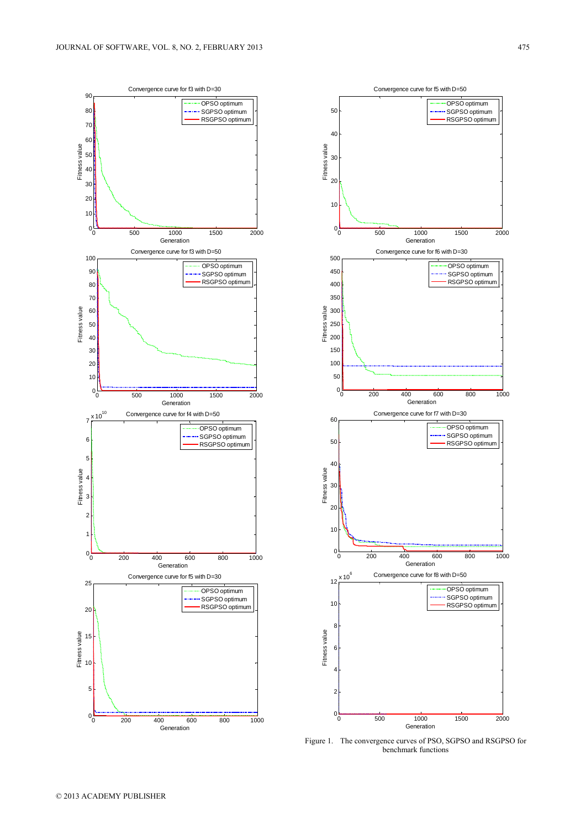



Figure 1. The convergence curves of PSO, SGPSO and RSGPSO for benchmark functions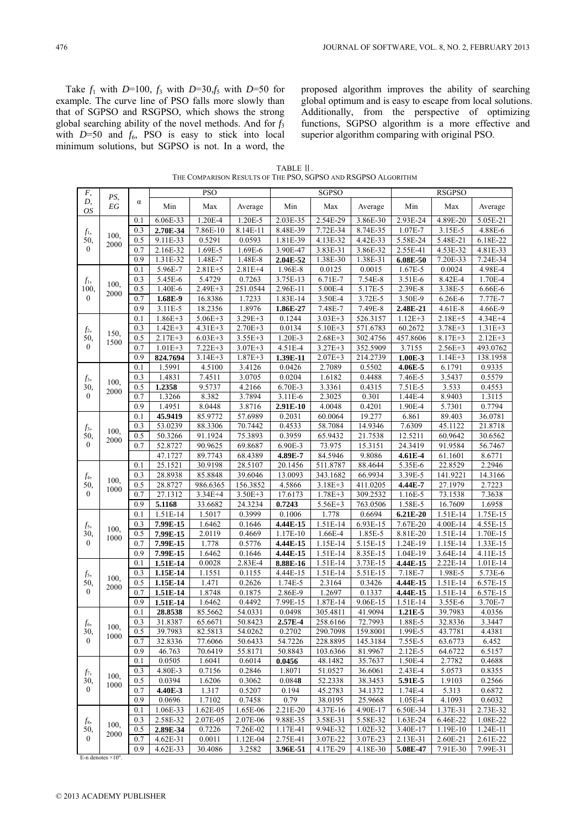Take  $f_1$  with *D*=100,  $f_3$  with *D*=30, $f_5$  with *D*=50 for example. The curve line of PSO falls more slowly than that of SGPSO and RSGPSO, which shows the strong global searching ability of the novel methods. And for *f*<sup>3</sup> with  $D=50$  and  $f_6$ , PSO is easy to stick into local minimum solutions, but SGPSO is not. In a word, the proposed algorithm improves the ability of searching global optimum and is easy to escape from local solutions. Additionally, from the perspective of optimizing functions, SGPSO algorithm is a more effective and superior algorithm comparing with original PSO.

| TABLE II.                                                     |  |
|---------------------------------------------------------------|--|
| THE COMPARISON RESULTS OF THE PSO, SGPSO AND RSGPSO ALGORITHM |  |

| ${\cal F},$                    |              |                  |                    | <b>PSO</b>            |                    | <b>SGPSO</b>      |                      |                     | <b>RSGPSO</b>      |                   |                  |
|--------------------------------|--------------|------------------|--------------------|-----------------------|--------------------|-------------------|----------------------|---------------------|--------------------|-------------------|------------------|
| D,<br>OS                       | PS,<br>EG    | $\alpha$         | Min                | Max                   | Average            | Min               | Max                  | Average             | Min                | Max               | Average          |
| $f_1$ ,<br>50,<br>$\mathbf{0}$ |              | 0.1              | 6.06E-33           | 1.20E-4               | 1.20E-5            | 2.03E-35          | 2.54E-29             | 3.86E-30            | 2.93E-24           | 4.89E-20          | 5.05E-21         |
|                                | 100.         | 0.3              | 2.70E-34           | 7.86E-10              | 8.14E-11           | 8.48E-39          | 7.72E-34             | 8.74E-35            | 1.07E-7            | 3.15E-5           | 4.88E-6          |
|                                | 2000         | 0.5              | 9.11E-33           | 0.5291                | 0.0593             | 1.81E-39          | 4.13E-32             | 4.42E-33            | 5.58E-24           | 5.48E-21          | 6.18E-22         |
|                                |              | 0.7              | 2.16E-32           | 1.69E-5               | 1.69E-6            | 3.90E-47          | 3.83E-31             | 3.86E-32            | 2.55E-41           | 4.53E-32          | 4.81E-33         |
|                                |              | 0.9              | 1.31E-32           | 1.48E-7               | 1.48E-8            | 2.04E-52          | 1.38E-30             | 1.38E-31            | 6.08E-50           | 7.20E-33          | 7.24E-34         |
|                                |              | 0.1              | 5.96E-7            | $2.81E + 5$           | $2.81E + 4$        | 1.96E-8           | 0.0125               | 0.0015              | 1.67E-5            | 0.0024            | 4.98E-4          |
| $f_1$ ,                        | 100.         | 0.3              | 5.45E-6            | 5.4729                | 0.7263             | 3.75E-13          | 6.71E-7              | 7.54E-8             | 3.51E-6            | 8.42E-4           | 1.70E-4          |
| 100,                           | 2000         | 0.5              | 1.40E-6            | 2.49E+3               | 251.0544           | 2.96E-11          | 5.00E-4              | 5.17E-5             | 2.39E-8            | 3.38E-5           | 6.66E-6          |
| $\mathbf{0}$                   |              | 0.7              | 1.68E-9            | 16.8386               | 1.7233             | 1.83E-14          | 3.50E-4              | 3.72E-5             | 3.50E-9            | 6.26E-6           | 7.77E-7          |
|                                |              | 0.9              | 3.11E-5            | 18.2356               | 1.8976             | 1.86E-27          | 7.48E-7              | 7.49E-8             | 2.48E-21           | $4.61E-8$         | 4.66E-9          |
|                                |              | 0.1              | $1.86E + 3$        | $5.06E + 3$           | $3.29E + 3$        | 0.1244            | $3.03E + 3$          | 526.3157            | $1.12E + 3$        | $2.18E + 5$       | 4.34E+4          |
| $f_2$                          | 150,         | 0.3              | $1.42E + 3$        | $4.31E + 3$           | $2.70E + 3$        | 0.0134            | $5.10E + 3$          | 571.6783            | 60.2672            | $3.78E + 3$       | $1.31E + 3$      |
| 50,<br>$\mathbf{0}$            | 1500         | 0.5              | $2.17E + 3$        | $6.03E + 3$           | $3.55E + 3$        | 1.20E-3           | $2.68E + 3$          | 302.4756            | 457.8606           | $8.17E + 3$       | $2.12E + 3$      |
|                                |              | 0.7              | $1.01E + 3$        | $7.22E + 3$           | $3.07E + 3$        | 4.51E-4           | $3.27E + 3$          | 352.5909            | 3.7155             | $2.56E + 3$       | 493.0762         |
|                                |              | 0.9              | 824.7694           | $3.14E + 3$<br>4.5100 | $1.87E + 3$        | 1.39E-11          | $2.07E + 3$          | 214.2739            | $1.00E-3$          | $1.14E + 3$       | 138.1958         |
|                                |              | 0.1<br>0.3       | 1.5991<br>1.4831   | 7.4511                | 3.4126<br>3.0705   | 0.0426<br>0.0204  | 2.7089<br>1.6182     | 0.5502<br>0.4488    | 4.06E-5<br>7.46E-5 | 6.1791<br>3.5437  | 0.9335<br>0.5579 |
| $f_3$<br>30,                   | 100.         | 0.5              | 1.2358             | 9.5737                | 4.2166             | 6.70E-3           | 3.3361               | 0.4315              |                    | 3.533             | 0.4553           |
| $\mathbf{0}$                   | 2000         | 0.7              | 1.3266             | 8.382                 | 3.7894             | $3.11E-6$         | 2.3025               | 0.301               | 7.51E-5<br>1.44E-4 | 8.9403            | 1.3115           |
|                                |              | 0.9              | 1.4951             | 8.0448                | 3.8716             | 2.91E-10          | 4.0048               | 0.4201              | 1.90E-4            | 5.7301            | 0.7794           |
|                                |              | 0.1              | 45.9419            | 85.9772               | 57.6989            | 0.2031            | 60.0064              | 19.277              | 6.861              | 89.403            | 36.0781          |
|                                |              | 0.3              | 53.0239            | 88.3306               | 70.7442            | 0.4533            | 58.7084              | 14.9346             | 7.6309             | 45.1122           | 21.8718          |
| $f_3$<br>50,                   | 100.         | 0.5              | 50.3266            | 91.1924               | 75.3893            | 0.3959            | 65.9432              | 21.7538             | 12.5211            | 60.9642           | 30.6562          |
| $\mathbf{0}$                   | 2000         | 0.7              | 52.8727            | 90.9625               | 69.8687            | 6.90E-3           | 73.975               | 15.3151             | 24.3419            | 91.9584           | 56.7467          |
|                                |              |                  | 47.1727            | 89.7743               | 68.4389            | 4.89E-7           | 84.5946              | 9.8086              | 4.61E-4            | 61.1601           | 8.6771           |
|                                |              | 0.1              | 25.1521            | 30.9198               | 28.5107            | 20.1456           | 511.8787             | 88.4644             | 5.35E-6            | 22.8529           | 2.2946           |
| $f_4$                          |              | 0.3              | 28.8938            | 85.8848               | 39.6046            | 13.0093           | 343.1682             | 66.9934             | 3.39E-5            | 141.9221          | 14.3166          |
| 50,                            | 100,<br>1000 | $\overline{0.5}$ | 28.8727            | 986.6365              | 156.3852           | 4.5866            | $3.18E + 3$          | 411.0205            | 4.44E-7            | 27.1979           | 2.7223           |
| $\mathbf{0}$                   |              | 0.7              | 27.1312            | $3.34E+4$             | $3.50E + 3$        | 17.6173           | $1.78E + 3$          | 309.2532            | 1.16E-5            | 73.1538           | 7.3638           |
|                                |              | 0.9              | 5.1168             | 33.6682               | 24.3234            | 0.7243            | 5.56E+3              | 763.0506            | 1.58E-5            | 16.7609           | 1.6958           |
|                                |              | 0.1              | 1.51E-14           | 1.5017                | 0.3999             | 0.1006            | 1.778                | 0.6694              | 6.21E-20           | 1.51E-14          | 1.75E-15         |
| $f_5$                          | 100,         | 0.3              | 7.99E-15           | 1.6462                | 0.1646             | 4.44E-15          | 1.51E-14             | 6.93E-15            | 7.67E-20           | 4.00E-14          | 4.55E-15         |
| 30,                            | 1000         | 0.5              | 7.99E-15           | 2.0119                | 0.4669             | 1.17E-10          | 1.66E-4              | 1.85E-5             | 8.81E-20           | 1.51E-14          | 1.70E-15         |
| $\mathbf{0}$                   |              | 0.7              | 7.99E-15           | 1.778                 | 0.5776             | 4.44E-15          | 1.15E-14             | 5.15E-15            | 1.24E-19           | 1.15E-14          | 1.33E-15         |
|                                |              | 0.9              | 7.99E-15           | 1.6462                | 0.1646             | 4.44E-15          | 1.51E-14             | 8.35E-15            | 1.04E-19           | 3.64E-14          | 4.11E-15         |
|                                |              | 0.1              | 1.51E-14           | 0.0028                | 2.83E-4            | 8.88E-16          | 1.51E-14             | 3.73E-15            | 4.44E-15           | 2.22E-14          | $1.01E-14$       |
| $f_5$ ,                        | 100.         | 0.3              | 1.15E-14           | 1.1551                | 0.1155             | 4.44E-15          | 1.51E-14             | 5.51E-15            | 7.18E-7            | 1.98E-5           | 5.73E-6          |
| 50,                            | 2000         | 0.5              | 1.15E-14           | 1.471                 | 0.2626             | 1.74E-5           | 2.3164               | 0.3426              | 4.44E-15           | 1.51E-14          | 6.57E-15         |
| $\mathbf{0}$                   |              | 0.7              | 1.51E-14           | 1.8748                | 0.1875             | 2.86E-9           | 1.2697               | 0.1337              | 4.44E-15           | 1.51E-14          | 6.57E-15         |
|                                |              | 0.9              | 1.51E-14           | 1.6462                | 0.4492             | 7.99E-15          | 1.87E-14             | 9.06E-15            | 1.51E-14           | 3.55E-6           | 3.70E-7          |
|                                |              | 0.1              | 28.8538            | 85.5662               | 54.0331            | 0.0498            | 305.4811             | 41.9094             | 1.21E-5            | 39.7983           | 4.0356           |
| $f_6$                          | 100,         | 0.3              | 31.8387            | 65.6671               | 50.8423            | 2.57E-4           | 258.6166<br>290.7098 | 72.7993<br>159.8001 | 1.88E-5<br>1.99E-5 | 32.8336           | 3.3447           |
| 30,<br>$\overline{0}$          | 1000         | 0.5<br>0.7       | 39.7983<br>32.8336 | 82.5813               | 54.0262<br>50.6433 | 0.2702<br>54.7226 | 228.8895             |                     | 7.55E-5            | 43.7781           | 4.4381           |
|                                |              |                  |                    | 77.6066               | 55.8171            | 50.8843           |                      | 145.3184            | 2.12E-5            | 63.6773           | 6.452            |
|                                |              | 0.9<br>0.1       | 46.763<br>0.0505   | 70.6419<br>1.6041     | 0.6014             | 0.0456            | 103.6366<br>48.1482  | 81.9967<br>35.7637  | 1.50E-4            | 64.6722<br>2.7782 | 6.5157<br>0.4688 |
|                                |              | 0.3              | 4.80E-3            | 0.7156                | 0.2846             | 1.8071            | 51.0527              | 36.6061             | 2.43E-4            | 5.0573            | 0.8355           |
| f7,<br>30,                     | 100,         | 0.5              | 0.0394             | 1.6206                | 0.3062             | 0.0848            | 52.2338              | 38.3453             | 5.91E-5            | 1.9103            | 0.2566           |
| $\mathbf{0}$                   | 1000         | 0.7              | 4.40E-3            | 1.317                 | 0.5207             | 0.194             | 45.2783              | 34.1372             | 1.74E-4            | 5.313             | 0.6872           |
|                                |              | 0.9              | 0.0696             | 1.7102                | 0.7458             | 0.79              | 38.0195              | 25.9668             | 1.05E-4            | 4.1093            | 0.6032           |
|                                |              | 0.1              | 1.06E-33           | $1.62E-05$            | 1.65E-06           | 2.21E-20          | 4.37E-16             | 4.90E-17            | 6.50E-34           | 1.37E-31          | 2.73E-32         |
| $f_8$                          |              | 0.3              | 2.58E-32           | 2.07E-05              | 2.07E-06           | 9.88E-35          | 3.58E-31             | 5.58E-32            | 1.63E-24           | 6.46E-22          | 1.08E-22         |
| 50,                            | 100.         | 0.5              | 2.89E-34           | 0.7226                | 7.26E-02           | 1.17E-41          | 9.94E-32             | 1.02E-32            | 3.40E-17           | 1.19E-10          | 1.24E-11         |
| $\boldsymbol{0}$               | 2000         | 0.7              | 4.62E-31           | 0.0011                | 1.12E-04           | 2.75E-41          | 3.07E-22             | 3.07E-23            | 2.13E-31           | 2.60E-21          | 2.61E-22         |
|                                |              | 0.9              | 4.62E-33           | 30.4086               | 3.2582             | 3.96E-51          | 4.17E-29             | 4.18E-30            | 5.08E-47           | 7.91E-30          | 7.99E-31         |

E-n denotes  $\times 10^n$ .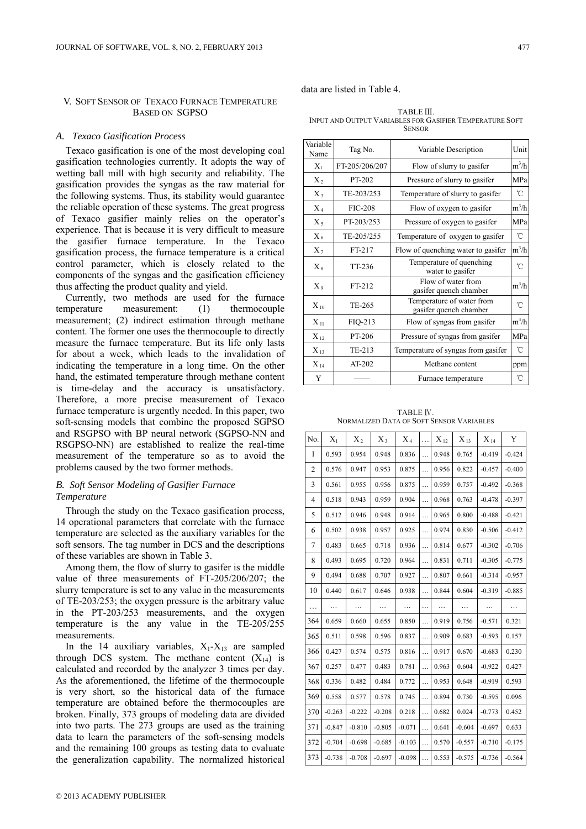### V. SOFT SENSOR OF TEXACO FURNACE TEMPERATURE BASED ON SGPSO

#### *A. Texaco Gasification Process*

Texaco gasification is one of the most developing coal gasification technologies currently. It adopts the way of wetting ball mill with high security and reliability. The gasification provides the syngas as the raw material for the following systems. Thus, its stability would guarantee the reliable operation of these systems. The great progress of Texaco gasifier mainly relies on the operator's experience. That is because it is very difficult to measure the gasifier furnace temperature. In the Texaco gasification process, the furnace temperature is a critical control parameter, which is closely related to the components of the syngas and the gasification efficiency thus affecting the product quality and yield.

Currently, two methods are used for the furnace temperature measurement: (1) thermocouple measurement; (2) indirect estimation through methane content. The former one uses the thermocouple to directly measure the furnace temperature. But its life only lasts for about a week, which leads to the invalidation of indicating the temperature in a long time. On the other hand, the estimated temperature through methane content is time-delay and the accuracy is unsatisfactory. Therefore, a more precise measurement of Texaco furnace temperature is urgently needed. In this paper, two soft-sensing models that combine the proposed SGPSO and RSGPSO with BP neural network (SGPSO-NN and RSGPSO-NN) are established to realize the real-time measurement of the temperature so as to avoid the problems caused by the two former methods.

## *B. Soft Sensor Modeling of Gasifier Furnace Temperature*

Through the study on the Texaco gasification process, 14 operational parameters that correlate with the furnace temperature are selected as the auxiliary variables for the soft sensors. The tag number in DCS and the descriptions of these variables are shown in Table 3.

Among them, the flow of slurry to gasifer is the middle value of three measurements of FT-205/206/207; the slurry temperature is set to any value in the measurements of TE-203/253; the oxygen pressure is the arbitrary value in the PT-203/253 measurements, and the oxygen temperature is the any value in the TE-205/255 measurements.

In the 14 auxiliary variables,  $X_1 - X_{13}$  are sampled through DCS system. The methane content  $(X_{14})$  is calculated and recorded by the analyzer 3 times per day. As the aforementioned, the lifetime of the thermocouple is very short, so the historical data of the furnace temperature are obtained before the thermocouples are broken. Finally, 373 groups of modeling data are divided into two parts. The 273 groups are used as the training data to learn the parameters of the soft-sensing models and the remaining 100 groups as testing data to evaluate the generalization capability. The normalized historical

data are listed in Table 4.

TABLE III INPUT AND OUTPUT VARIABLES FOR GASIFIER TEMPERATURE SOFT **SENSOR** 

| Variable<br>Name | Tag No.        | Unit<br>Variable Description                        |         |  |
|------------------|----------------|-----------------------------------------------------|---------|--|
| $X_1$            | FT-205/206/207 | Flow of slurry to gasifer                           | $m^3/h$ |  |
| $X_2$            | PT-202         | Pressure of slurry to gasifer                       | MPa     |  |
| $X_3$            | TE-203/253     | Temperature of slurry to gasifer                    | °C      |  |
| $X_4$            | <b>FIC-208</b> | Flow of oxygen to gasifer                           | $m^3/h$ |  |
| $X_{5}$          | PT-203/253     | Pressure of oxygen to gasifer                       | MPa     |  |
| $X_6$            | TE-205/255     | Temperature of oxygen to gasifer                    | °C      |  |
| $X_7$            | FT-217         | Flow of quenching water to gasifer                  | $m^3/h$ |  |
| $X_{8}$          | TT-236         | Temperature of quenching<br>water to gasifer        | 'n      |  |
| $X_9$            | FT-212         | Flow of water from<br>gasifer quench chamber        | $m^3/h$ |  |
| $X_{10}$         | TE-265         | Temperature of water from<br>gasifer quench chamber | °C      |  |
| $X_{11}$         | FIQ-213        | Flow of syngas from gasifer                         | $m^3/h$ |  |
| $X_{12}$         | PT-206         | Pressure of syngas from gasifer                     | MPa     |  |
| $X_{13}$         | TE-213         | Temperature of syngas from gasifer                  | °C      |  |
| $X_{14}$         | $AT-202$       | Methane content                                     | ppm     |  |
| Y                |                | Furnace temperature                                 | °C      |  |

TABLE Ⅳ. NORMALIZED DATA OF SOFT SENSOR VARIABLES

| No.            | $X_1$    | $X_2$    | $X_3$    | $X_4$    | .        | $\mathbf{X}_{12}$ | $\mathbf{X}_{13}$ | $\mathbf{X}_{14}$ | Y        |
|----------------|----------|----------|----------|----------|----------|-------------------|-------------------|-------------------|----------|
| 1              | 0.593    | 0.954    | 0.948    | 0.836    | .        | 0.948             | 0.765             | $-0.419$          | $-0.424$ |
| $\overline{2}$ | 0.576    | 0.947    | 0.953    | 0.875    | $\cdots$ | 0.956             | 0.822             | $-0.457$          | $-0.400$ |
| 3              | 0.561    | 0.955    | 0.956    | 0.875    | .        | 0.959             | 0.757             | $-0.492$          | $-0.368$ |
| 4              | 0.518    | 0.943    | 0.959    | 0.904    | .        | 0.968             | 0.763             | $-0.478$          | $-0.397$ |
| 5              | 0.512    | 0.946    | 0.948    | 0.914    | .        | 0.965             | 0.800             | $-0.488$          | $-0.421$ |
| 6              | 0.502    | 0.938    | 0.957    | 0.925    | $\cdots$ | 0.974             | 0.830             | $-0.506$          | $-0.412$ |
| 7              | 0.483    | 0.665    | 0.718    | 0.936    | .        | 0.814             | 0.677             | $-0.302$          | $-0.706$ |
| 8              | 0.493    | 0.695    | 0.720    | 0.964    | .        | 0.831             | 0.711             | $-0.305$          | $-0.775$ |
| 9              | 0.494    | 0.688    | 0.707    | 0.927    | $\cdots$ | 0.807             | 0.661             | $-0.314$          | $-0.957$ |
| 10             | 0.440    | 0.617    | 0.646    | 0.938    | .        | 0.844             | 0.604             | $-0.319$          | $-0.885$ |
| .              | .        | .        | .        | .        | .        | .                 | .                 | .                 | .        |
| 364            | 0.659    | 0.660    | 0.655    | 0.850    | .        | 0.919             | 0.756             | $-0.571$          | 0.321    |
| 365            | 0.511    | 0.598    | 0.596    | 0.837    | .        | 0.909             | 0.683             | $-0.593$          | 0.157    |
| 366            | 0.427    | 0.574    | 0.575    | 0.816    | .        | 0.917             | 0.670             | $-0.683$          | 0.230    |
| 367            | 0.257    | 0.477    | 0.483    | 0.781    | $\cdots$ | 0.963             | 0.604             | $-0.922$          | 0.427    |
| 368            | 0.336    | 0.482    | 0.484    | 0.772    | .        | 0.953             | 0.648             | $-0.919$          | 0.593    |
| 369            | 0.558    | 0.577    | 0.578    | 0.745    | .        | 0.894             | 0.730             | $-0.595$          | 0.096    |
| 370            | $-0.263$ | $-0.222$ | $-0.208$ | 0.218    | .        | 0.682             | 0.024             | $-0.773$          | 0.452    |
| 371            | $-0.847$ | $-0.810$ | $-0.805$ | $-0.071$ | $\cdots$ | 0.641             | $-0.604$          | $-0.697$          | 0.633    |
| 372            | $-0.704$ | $-0.698$ | $-0.685$ | $-0.103$ | $\cdots$ | 0.570             | $-0.557$          | $-0.710$          | $-0.175$ |
| 373            | $-0.738$ | $-0.708$ | $-0.697$ | $-0.098$ | .        | 0.553             | $-0.575$          | $-0.736$          | $-0.564$ |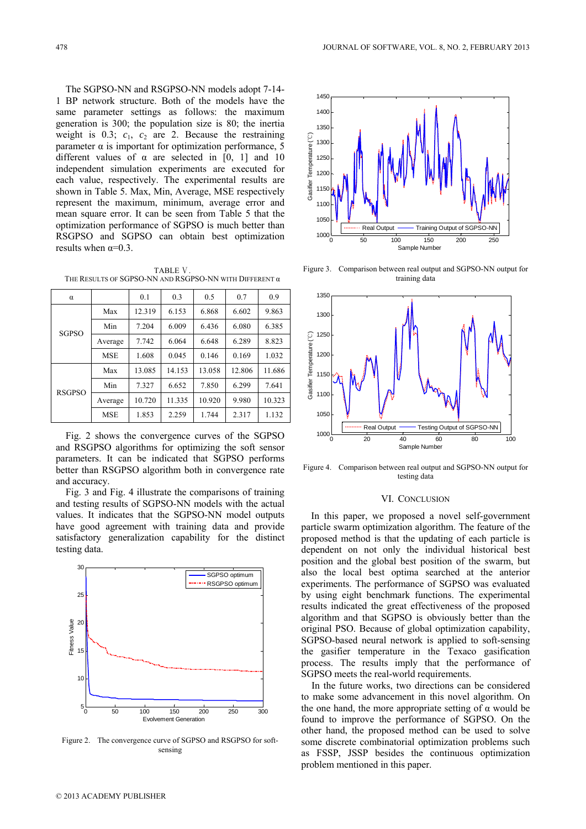The SGPSO-NN and RSGPSO-NN models adopt 7-14- 1 BP network structure. Both of the models have the same parameter settings as follows: the maximum generation is 300; the population size is 80; the inertia weight is  $0.3$ ;  $c_1$ ,  $c_2$  are 2. Because the restraining parameter  $\alpha$  is important for optimization performance, 5 different values of  $\alpha$  are selected in [0, 1] and 10 independent simulation experiments are executed for each value, respectively. The experimental results are shown in Table 5. Max, Min, Average, MSE respectively represent the maximum, minimum, average error and mean square error. It can be seen from Table 5 that the optimization performance of SGPSO is much better than RSGPSO and SGPSO can obtain best optimization results when  $\alpha=0.3$ .

TABLE Ⅴ. THE RESULTS OF SGPSO-NN AND RSGPSO-NN WITH DIFFERENT α

| α             |            | 0.1    | 0.3    | 0.5    | 0.7    | 0.9    |
|---------------|------------|--------|--------|--------|--------|--------|
| <b>SGPSO</b>  | Max        | 12.319 | 6.153  | 6.868  | 6.602  | 9.863  |
|               | Min        | 7.204  | 6.009  | 6.436  | 6.080  | 6.385  |
|               | Average    | 7.742  | 6.064  | 6.648  | 6.289  | 8.823  |
|               | <b>MSE</b> | 1.608  | 0.045  | 0.146  | 0.169  | 1.032  |
| <b>RSGPSO</b> | Max        | 13.085 | 14.153 | 13.058 | 12.806 | 11.686 |
|               | Min        | 7.327  | 6.652  | 7.850  | 6.299  | 7.641  |
|               | Average    | 10.720 | 11.335 | 10.920 | 9.980  | 10.323 |
|               | <b>MSE</b> | 1.853  | 2.259  | 1.744  | 2.317  | 1.132  |

Fig. 2 shows the convergence curves of the SGPSO and RSGPSO algorithms for optimizing the soft sensor parameters. It can be indicated that SGPSO performs better than RSGPSO algorithm both in convergence rate and accuracy.

Fig. 3 and Fig. 4 illustrate the comparisons of training and testing results of SGPSO-NN models with the actual values. It indicates that the SGPSO-NN model outputs have good agreement with training data and provide satisfactory generalization capability for the distinct testing data.



Figure 2. The convergence curve of SGPSO and RSGPSO for softsensing



Figure 3. Comparison between real output and SGPSO-NN output for training data



Figure 4. Comparison between real output and SGPSO-NN output for testing data

### VI. CONCLUSION

In this paper, we proposed a novel self-government particle swarm optimization algorithm. The feature of the proposed method is that the updating of each particle is dependent on not only the individual historical best position and the global best position of the swarm, but also the local best optima searched at the anterior experiments. The performance of SGPSO was evaluated by using eight benchmark functions. The experimental results indicated the great effectiveness of the proposed algorithm and that SGPSO is obviously better than the original PSO. Because of global optimization capability, SGPSO-based neural network is applied to soft-sensing the gasifier temperature in the Texaco gasification process. The results imply that the performance of SGPSO meets the real-world requirements.

In the future works, two directions can be considered to make some advancement in this novel algorithm. On the one hand, the more appropriate setting of  $\alpha$  would be found to improve the performance of SGPSO. On the other hand, the proposed method can be used to solve some discrete combinatorial optimization problems such as FSSP, JSSP besides the continuous optimization problem mentioned in this paper.